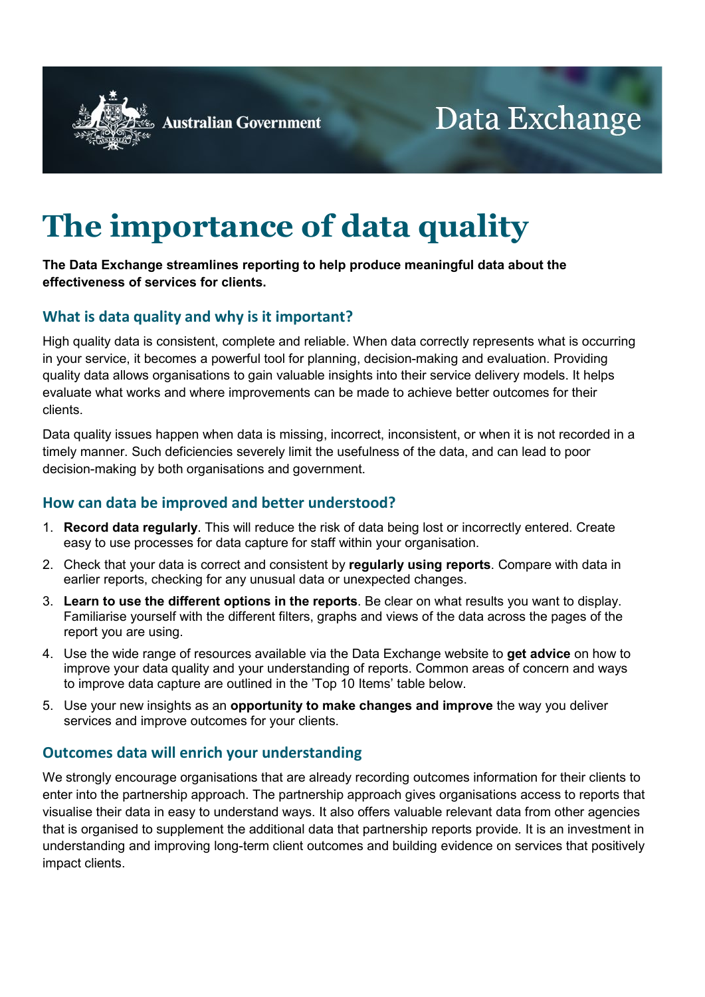

**Australian Government** 

# **The importance of data quality**

#### **The Data Exchange streamlines reporting to help produce meaningful data about the effectiveness of services for clients.**

## **What is data quality and why is it important?**

High quality data is consistent, complete and reliable. When data correctly represents what is occurring in your service, it becomes a powerful tool for planning, decision-making and evaluation. Providing quality data allows organisations to gain valuable insights into their service delivery models. It helps evaluate what works and where improvements can be made to achieve better outcomes for their clients.

Data quality issues happen when data is missing, incorrect, inconsistent, or when it is not recorded in a timely manner. Such deficiencies severely limit the usefulness of the data, and can lead to poor decision-making by both organisations and government.

### **How can data be improved and better understood?**

- 1. **Record data regularly**. This will reduce the risk of data being lost or incorrectly entered. Create easy to use processes for data capture for staff within your organisation.
- 2. Check that your data is correct and consistent by **regularly using reports**. Compare with data in earlier reports, checking for any unusual data or unexpected changes.
- 3. **Learn to use the different options in the reports**. Be clear on what results you want to display. Familiarise yourself with the different filters, graphs and views of the data across the pages of the report you are using.
- 4. Use the wide range of resources available via the Data Exchange website to **get advice** on how to improve your data quality and your understanding of reports. Common areas of concern and ways to improve data capture are outlined in the 'Top 10 Items' table below.
- 5. Use your new insights as an **opportunity to make changes and improve** the way you deliver services and improve outcomes for your clients.

#### **Outcomes data will enrich your understanding**

We strongly encourage organisations that are already recording outcomes information for their clients to enter into the partnership approach. The partnership approach gives organisations access to reports that visualise their data in easy to understand ways. It also offers valuable relevant data from other agencies that is organised to supplement the additional data that partnership reports provide*.* It is an investment in understanding and improving long-term client outcomes and building evidence on services that positively impact clients.